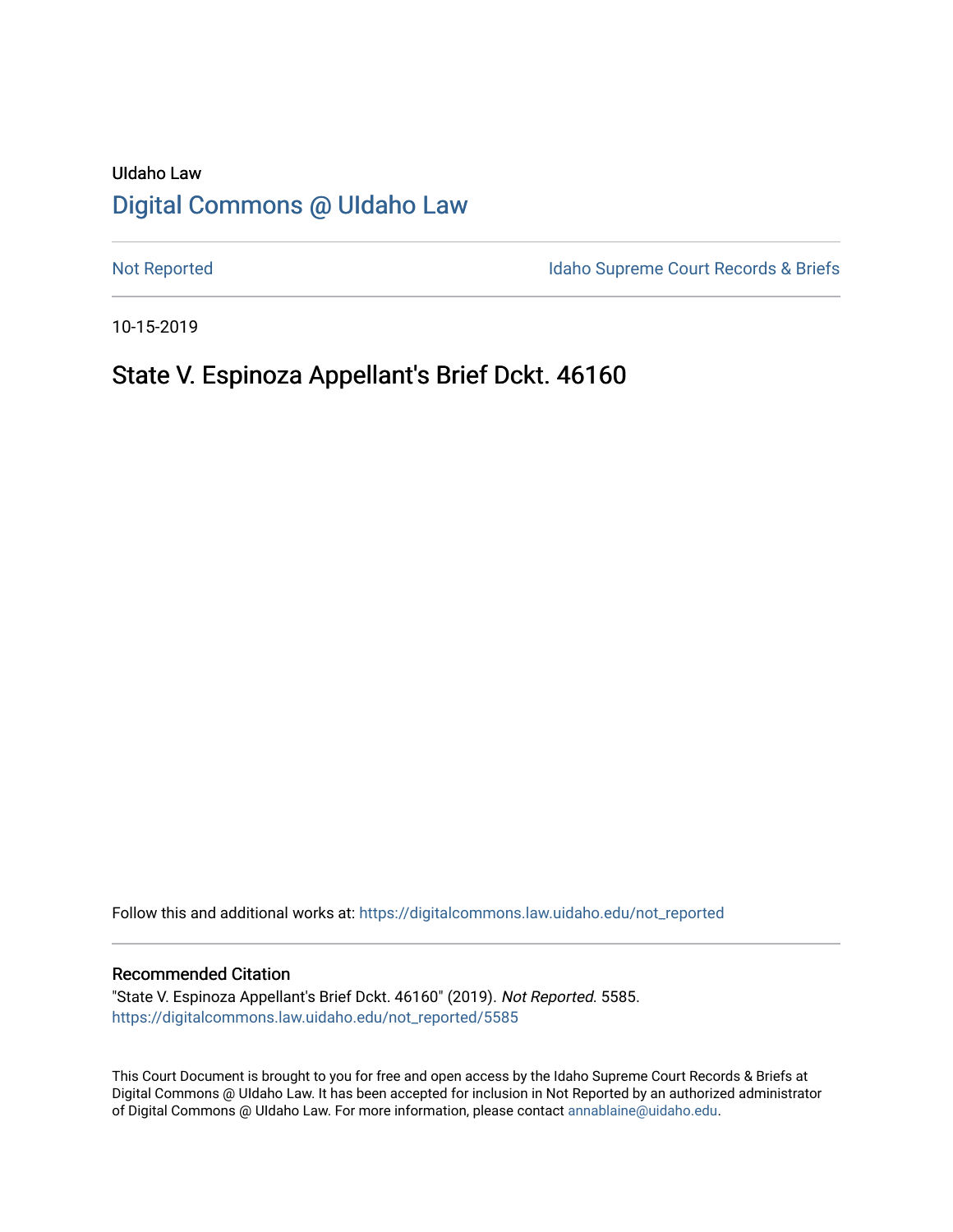# UIdaho Law [Digital Commons @ UIdaho Law](https://digitalcommons.law.uidaho.edu/)

[Not Reported](https://digitalcommons.law.uidaho.edu/not_reported) **Idaho Supreme Court Records & Briefs** 

10-15-2019

# State V. Espinoza Appellant's Brief Dckt. 46160

Follow this and additional works at: [https://digitalcommons.law.uidaho.edu/not\\_reported](https://digitalcommons.law.uidaho.edu/not_reported?utm_source=digitalcommons.law.uidaho.edu%2Fnot_reported%2F5585&utm_medium=PDF&utm_campaign=PDFCoverPages) 

#### Recommended Citation

"State V. Espinoza Appellant's Brief Dckt. 46160" (2019). Not Reported. 5585. [https://digitalcommons.law.uidaho.edu/not\\_reported/5585](https://digitalcommons.law.uidaho.edu/not_reported/5585?utm_source=digitalcommons.law.uidaho.edu%2Fnot_reported%2F5585&utm_medium=PDF&utm_campaign=PDFCoverPages)

This Court Document is brought to you for free and open access by the Idaho Supreme Court Records & Briefs at Digital Commons @ UIdaho Law. It has been accepted for inclusion in Not Reported by an authorized administrator of Digital Commons @ UIdaho Law. For more information, please contact [annablaine@uidaho.edu](mailto:annablaine@uidaho.edu).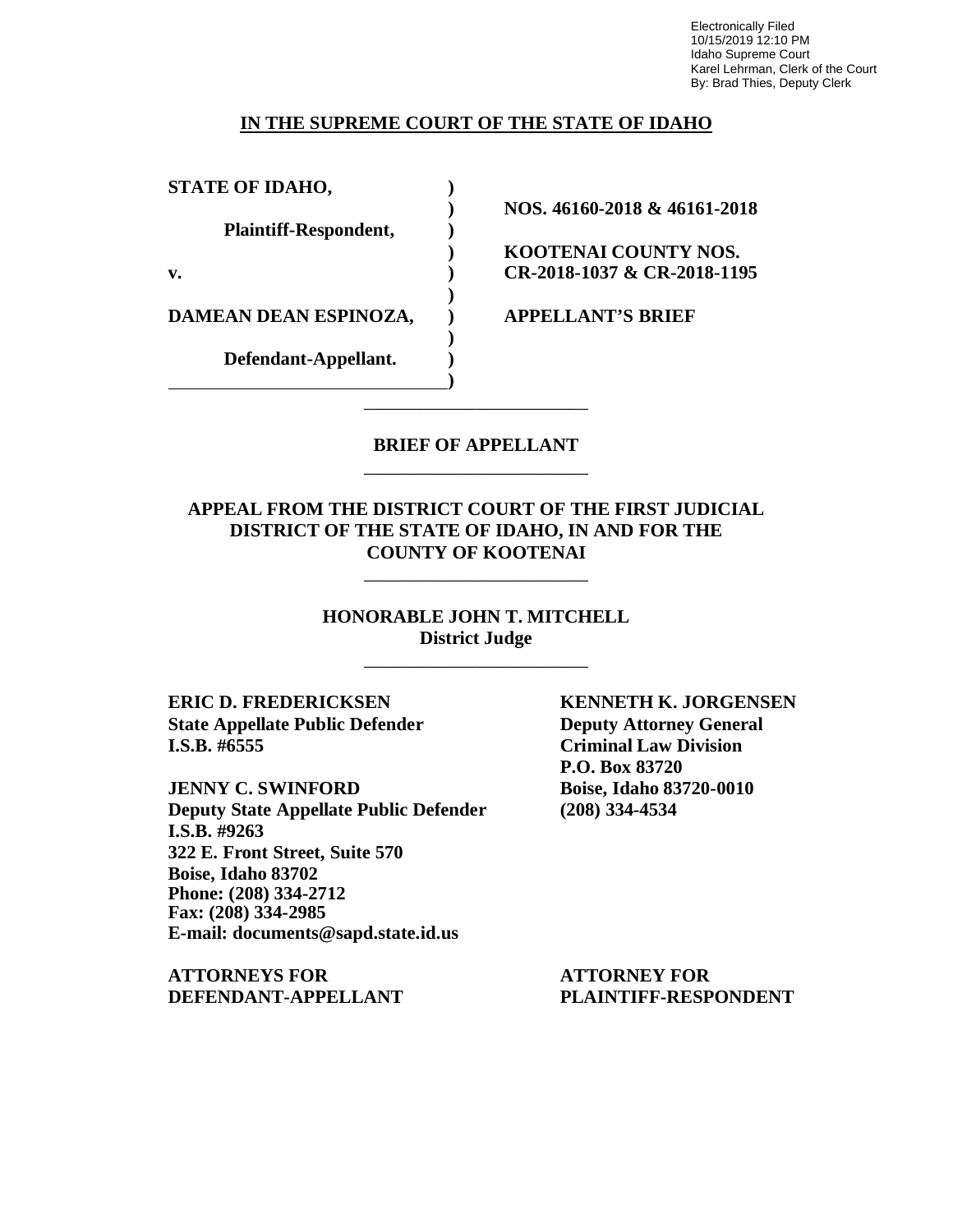Electronically Filed 10/15/2019 12:10 PM Idaho Supreme Court Karel Lehrman, Clerk of the Court By: Brad Thies, Deputy Clerk

### **IN THE SUPREME COURT OF THE STATE OF IDAHO**

**STATE OF IDAHO, )**

**Plaintiff-Respondent, )**

**DAMEAN DEAN ESPINOZA, ) APPELLANT'S BRIEF**

**Defendant-Appellant. )**

**) NOS. 46160-2018 & 46161-2018**

**) KOOTENAI COUNTY NOS. v. ) CR-2018-1037 & CR-2018-1195**

### **BRIEF OF APPELLANT** \_\_\_\_\_\_\_\_\_\_\_\_\_\_\_\_\_\_\_\_\_\_\_\_

\_\_\_\_\_\_\_\_\_\_\_\_\_\_\_\_\_\_\_\_\_\_\_\_

**)**

**)**

**)**

### **APPEAL FROM THE DISTRICT COURT OF THE FIRST JUDICIAL DISTRICT OF THE STATE OF IDAHO, IN AND FOR THE COUNTY OF KOOTENAI**

\_\_\_\_\_\_\_\_\_\_\_\_\_\_\_\_\_\_\_\_\_\_\_\_

**HONORABLE JOHN T. MITCHELL District Judge**

\_\_\_\_\_\_\_\_\_\_\_\_\_\_\_\_\_\_\_\_\_\_\_\_

**ERIC D. FREDERICKSEN KENNETH K. JORGENSEN State Appellate Public Defender Deputy Attorney General I.S.B. #6555 Criminal Law Division**

**JENNY C. SWINFORD Boise, Idaho 83720-0010 Deputy State Appellate Public Defender (208) 334-4534 I.S.B. #9263 322 E. Front Street, Suite 570 Boise, Idaho 83702 Phone: (208) 334-2712 Fax: (208) 334-2985 E-mail: documents@sapd.state.id.us**

**ATTORNEYS FOR ATTORNEY FOR DEFENDANT-APPELLANT PLAINTIFF-RESPONDENT**

**P.O. Box 83720**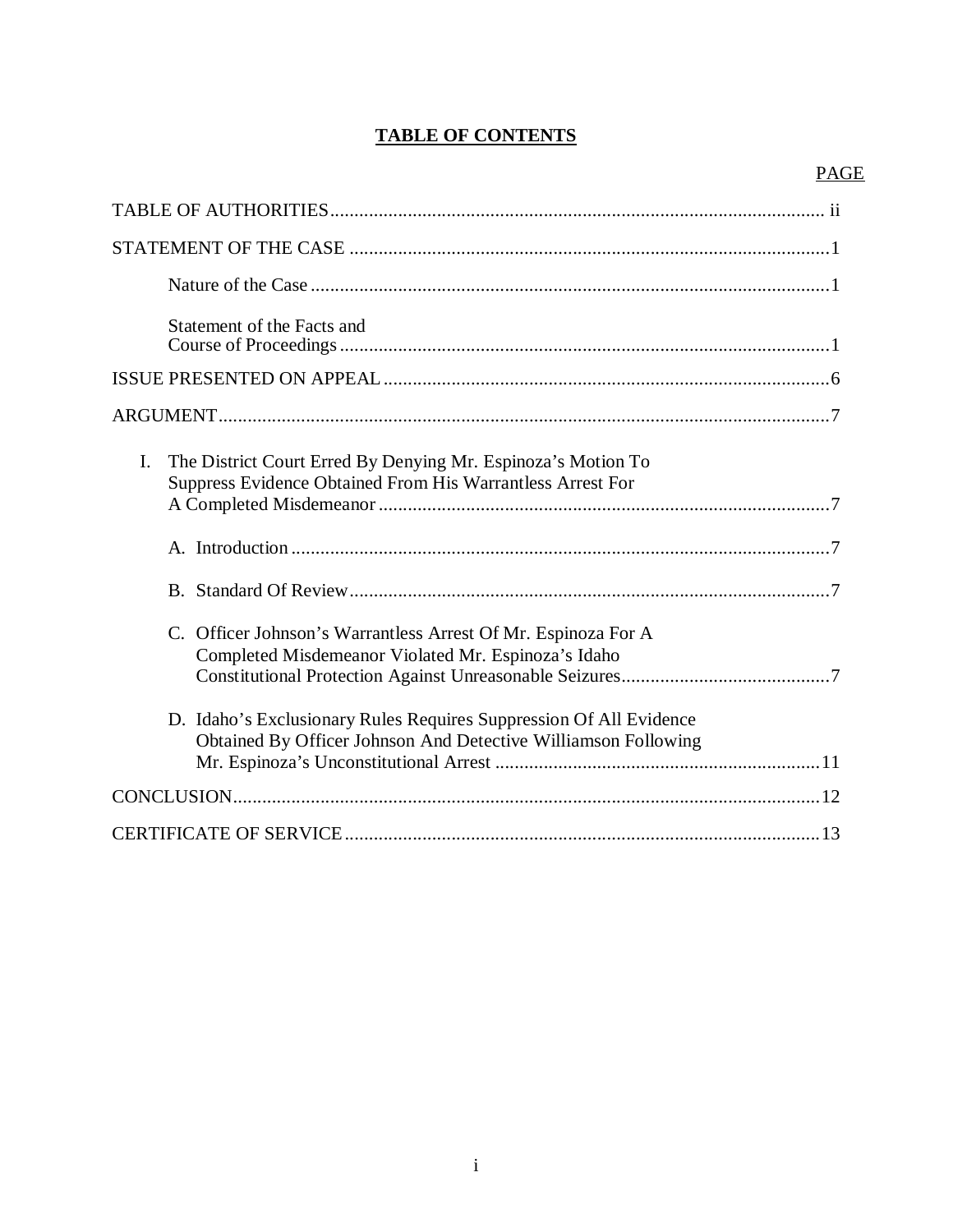# **TABLE OF CONTENTS**

# PAGE

|    | Statement of the Facts and                                                                                                           |
|----|--------------------------------------------------------------------------------------------------------------------------------------|
|    |                                                                                                                                      |
|    |                                                                                                                                      |
| I. | The District Court Erred By Denying Mr. Espinoza's Motion To<br>Suppress Evidence Obtained From His Warrantless Arrest For           |
|    |                                                                                                                                      |
|    |                                                                                                                                      |
|    | C. Officer Johnson's Warrantless Arrest Of Mr. Espinoza For A<br>Completed Misdemeanor Violated Mr. Espinoza's Idaho                 |
|    | D. Idaho's Exclusionary Rules Requires Suppression Of All Evidence<br>Obtained By Officer Johnson And Detective Williamson Following |
|    |                                                                                                                                      |
|    |                                                                                                                                      |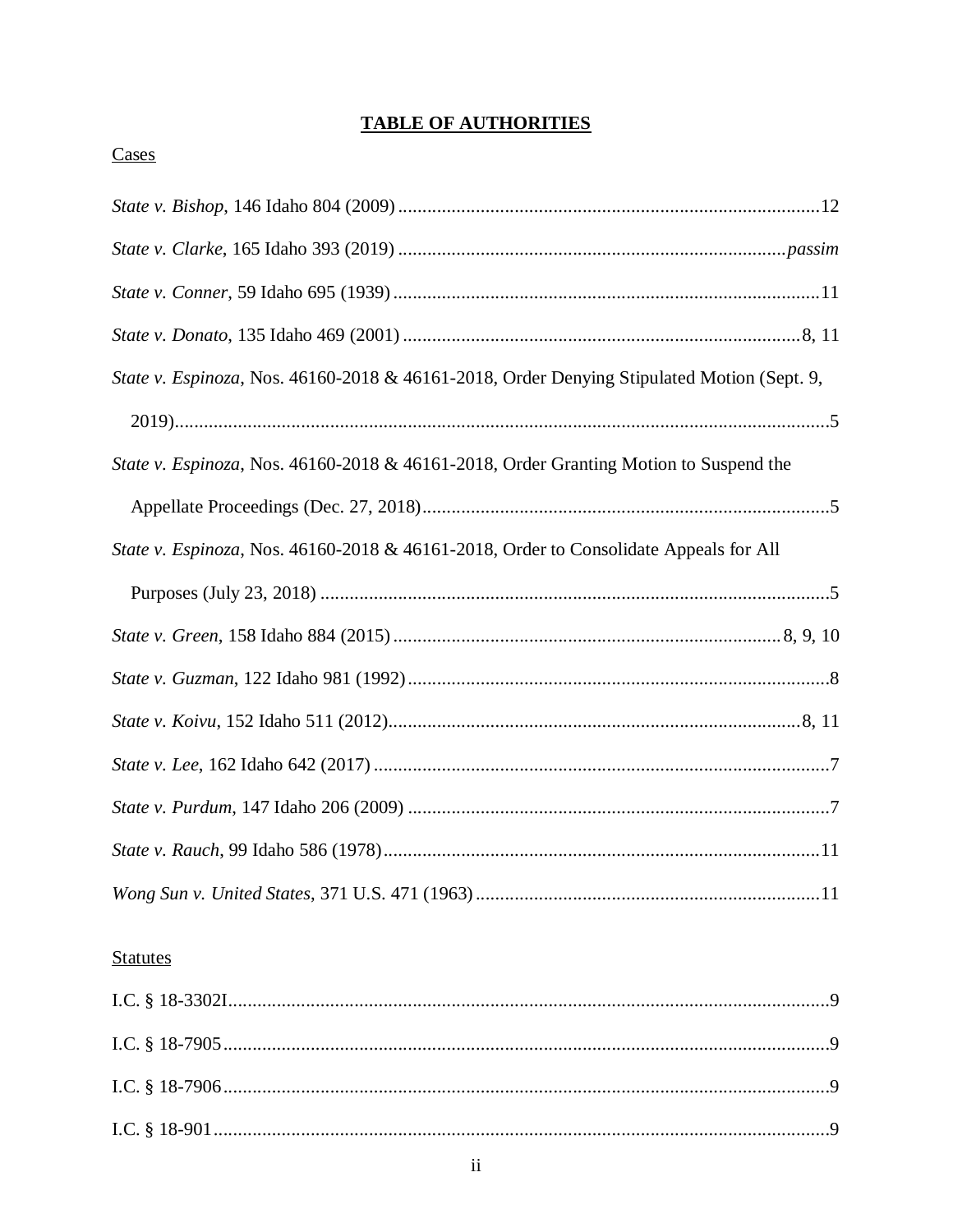# **TABLE OF AUTHORITIES**

# Cases

| State v. Espinoza, Nos. 46160-2018 & 46161-2018, Order Denying Stipulated Motion (Sept. 9, |  |
|--------------------------------------------------------------------------------------------|--|
|                                                                                            |  |
| State v. Espinoza, Nos. 46160-2018 & 46161-2018, Order Granting Motion to Suspend the      |  |
|                                                                                            |  |
| State v. Espinoza, Nos. 46160-2018 & 46161-2018, Order to Consolidate Appeals for All      |  |
|                                                                                            |  |
|                                                                                            |  |
|                                                                                            |  |
|                                                                                            |  |
|                                                                                            |  |
|                                                                                            |  |
|                                                                                            |  |
|                                                                                            |  |

# **Statutes**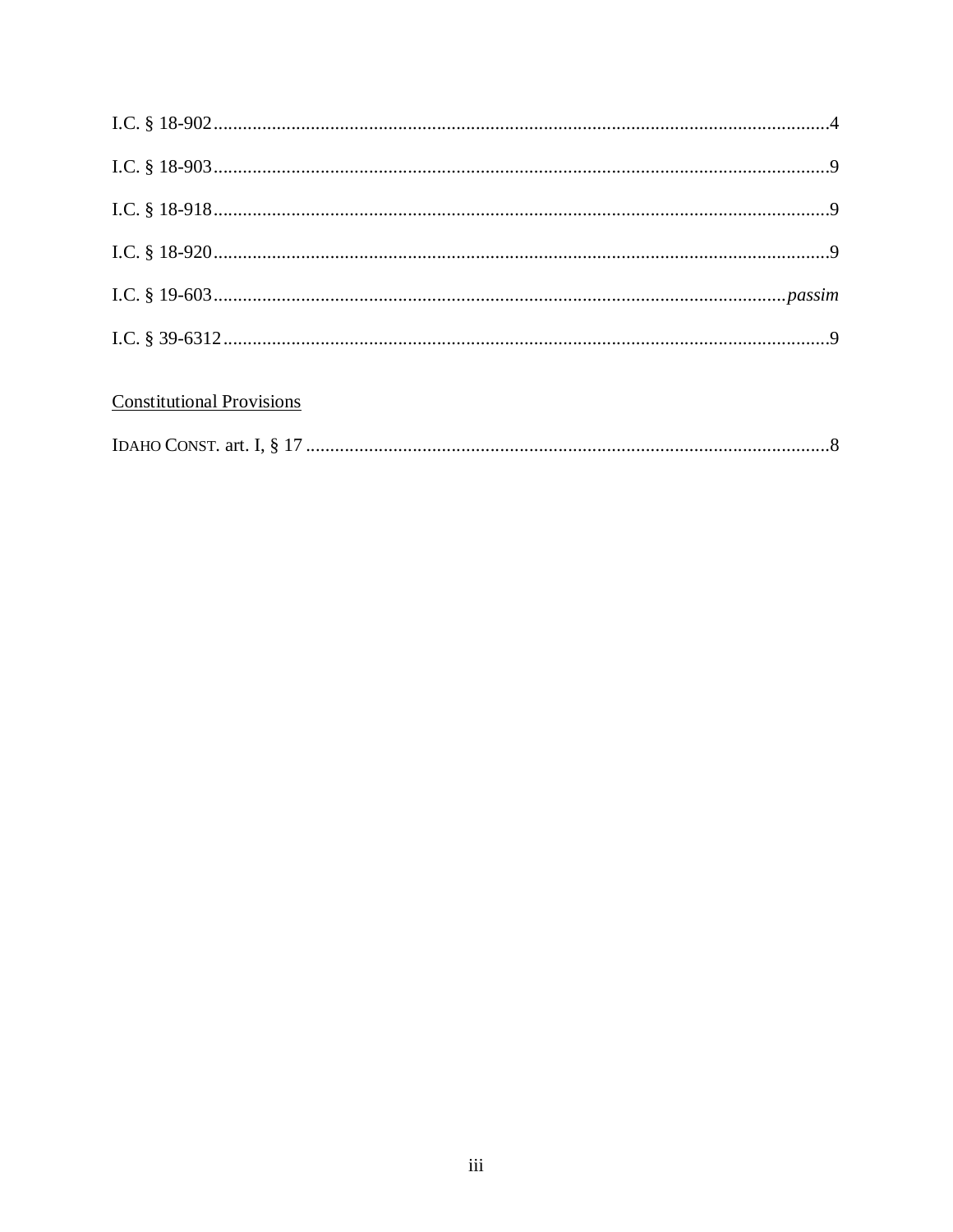# **Constitutional Provisions**

|--|--|--|--|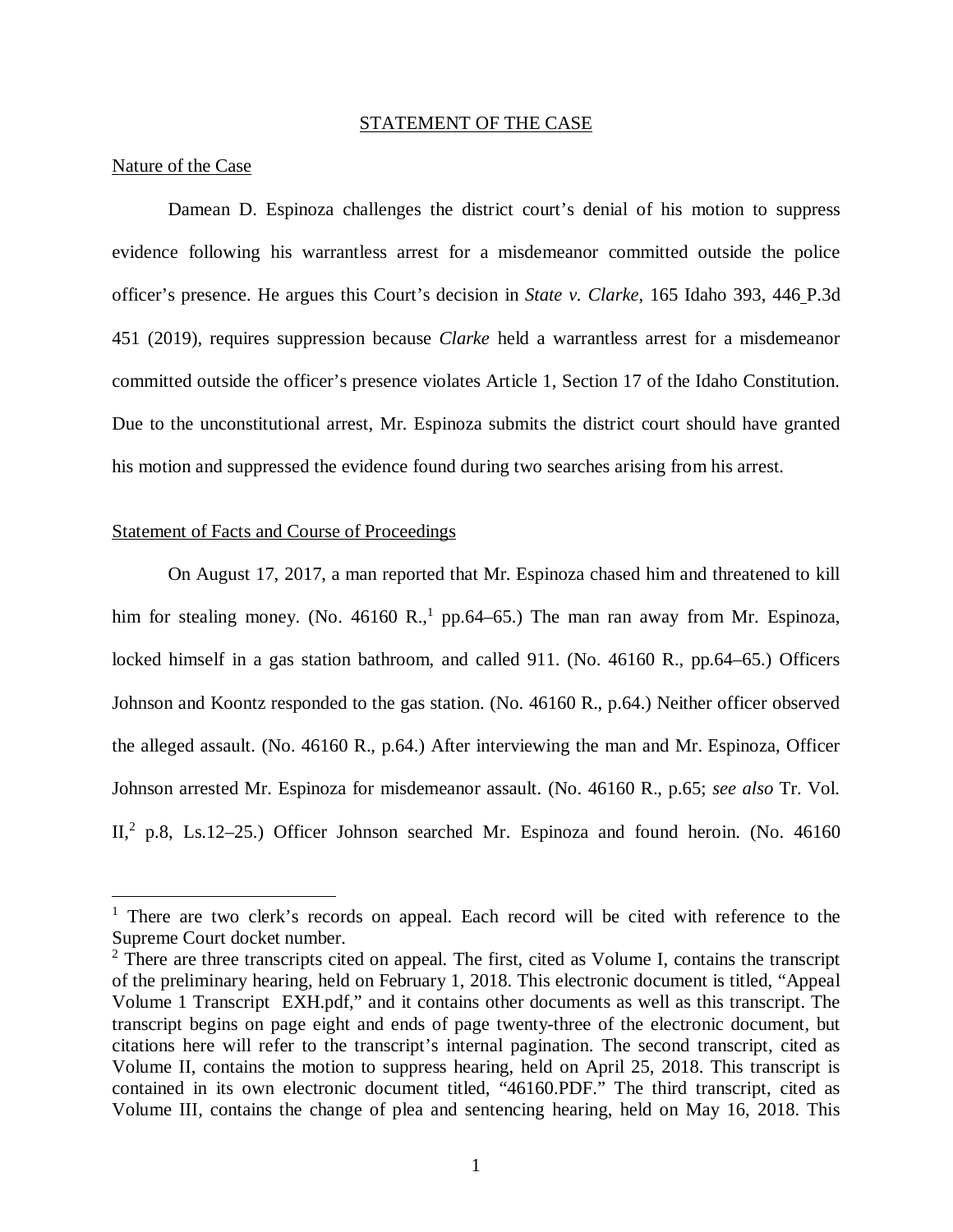#### STATEMENT OF THE CASE

#### Nature of the Case

Damean D. Espinoza challenges the district court's denial of his motion to suppress evidence following his warrantless arrest for a misdemeanor committed outside the police officer's presence. He argues this Court's decision in *State v. Clarke*, 165 Idaho 393, 446 P.3d 451 (2019), requires suppression because *Clarke* held a warrantless arrest for a misdemeanor committed outside the officer's presence violates Article 1, Section 17 of the Idaho Constitution. Due to the unconstitutional arrest, Mr. Espinoza submits the district court should have granted his motion and suppressed the evidence found during two searches arising from his arrest.

#### Statement of Facts and Course of Proceedings

On August 17, 2017, a man reported that Mr. Espinoza chased him and threatened to kill him for stealing money. (No. 46[1](#page-5-0)60 R., pp.64–65.) The man ran away from Mr. Espinoza, locked himself in a gas station bathroom, and called 911. (No. 46160 R., pp.64–65.) Officers Johnson and Koontz responded to the gas station. (No. 46160 R., p.64.) Neither officer observed the alleged assault. (No. 46160 R., p.64.) After interviewing the man and Mr. Espinoza, Officer Johnson arrested Mr. Espinoza for misdemeanor assault. (No. 46160 R., p.65; *see also* Tr. Vol.  $II,^2$  $II,^2$  p.8, Ls.12–25.) Officer Johnson searched Mr. Espinoza and found heroin. (No. 46160)

<span id="page-5-0"></span><sup>&</sup>lt;sup>1</sup> There are two clerk's records on appeal. Each record will be cited with reference to the Supreme Court docket number.

<span id="page-5-1"></span> $2$  There are three transcripts cited on appeal. The first, cited as Volume I, contains the transcript of the preliminary hearing, held on February 1, 2018. This electronic document is titled, "Appeal Volume 1 Transcript EXH.pdf," and it contains other documents as well as this transcript. The transcript begins on page eight and ends of page twenty-three of the electronic document, but citations here will refer to the transcript's internal pagination. The second transcript, cited as Volume II, contains the motion to suppress hearing, held on April 25, 2018. This transcript is contained in its own electronic document titled, "46160.PDF." The third transcript, cited as Volume III, contains the change of plea and sentencing hearing, held on May 16, 2018. This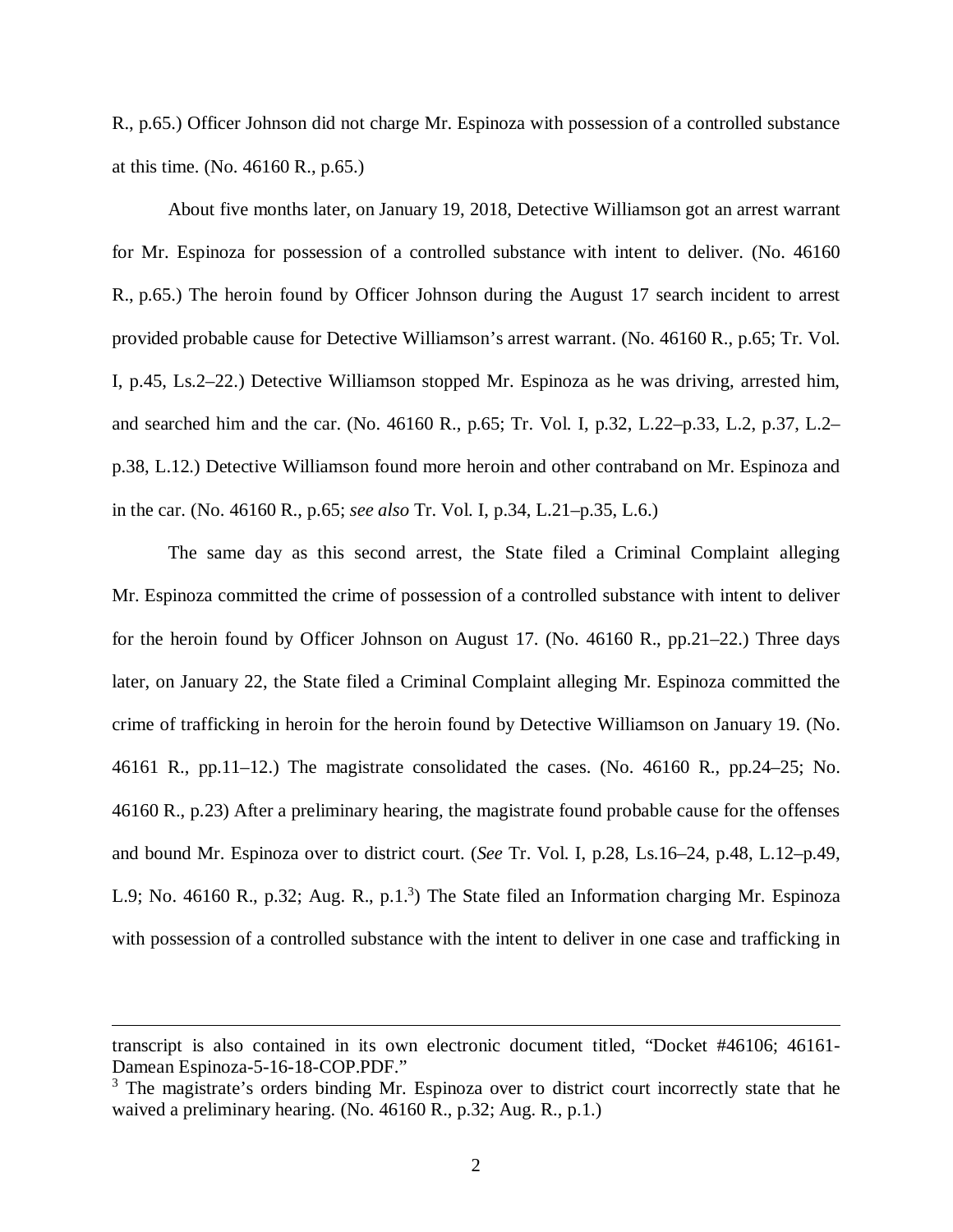R., p.65.) Officer Johnson did not charge Mr. Espinoza with possession of a controlled substance at this time. (No. 46160 R., p.65.)

About five months later, on January 19, 2018, Detective Williamson got an arrest warrant for Mr. Espinoza for possession of a controlled substance with intent to deliver. (No. 46160 R., p.65.) The heroin found by Officer Johnson during the August 17 search incident to arrest provided probable cause for Detective Williamson's arrest warrant. (No. 46160 R., p.65; Tr. Vol. I, p.45, Ls.2–22.) Detective Williamson stopped Mr. Espinoza as he was driving, arrested him, and searched him and the car. (No. 46160 R., p.65; Tr. Vol. I, p.32, L.22–p.33, L.2, p.37, L.2– p.38, L.12.) Detective Williamson found more heroin and other contraband on Mr. Espinoza and in the car. (No. 46160 R., p.65; *see also* Tr. Vol. I, p.34, L.21–p.35, L.6.)

The same day as this second arrest, the State filed a Criminal Complaint alleging Mr. Espinoza committed the crime of possession of a controlled substance with intent to deliver for the heroin found by Officer Johnson on August 17. (No. 46160 R., pp.21–22.) Three days later, on January 22, the State filed a Criminal Complaint alleging Mr. Espinoza committed the crime of trafficking in heroin for the heroin found by Detective Williamson on January 19. (No. 46161 R., pp.11–12.) The magistrate consolidated the cases. (No. 46160 R., pp.24–25; No. 46160 R., p.23) After a preliminary hearing, the magistrate found probable cause for the offenses and bound Mr. Espinoza over to district court. (*See* Tr. Vol. I, p.28, Ls.16–24, p.48, L.12–p.49, L.9; No. 46160 R., p.[3](#page-6-0)2; Aug. R., p.1.<sup>3</sup>) The State filed an Information charging Mr. Espinoza with possession of a controlled substance with the intent to deliver in one case and trafficking in

transcript is also contained in its own electronic document titled, "Docket #46106; 46161- Damean Espinoza-5-16-18-COP.PDF."

<span id="page-6-0"></span><sup>&</sup>lt;sup>3</sup> The magistrate's orders binding Mr. Espinoza over to district court incorrectly state that he waived a preliminary hearing. (No. 46160 R., p.32; Aug. R., p.1.)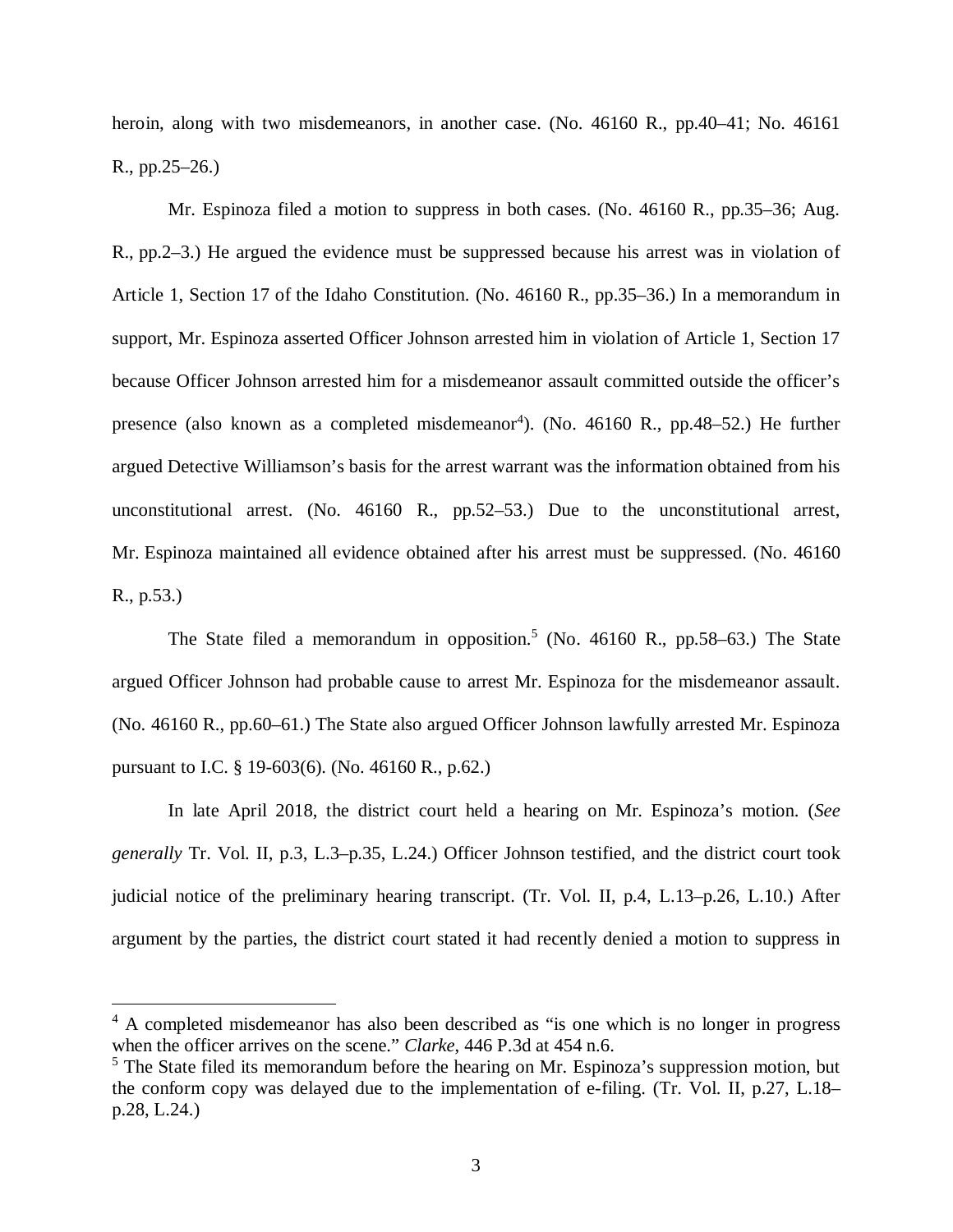heroin, along with two misdemeanors, in another case. (No. 46160 R., pp.40–41; No. 46161 R., pp.25–26.)

Mr. Espinoza filed a motion to suppress in both cases. (No. 46160 R., pp.35–36; Aug. R., pp.2–3.) He argued the evidence must be suppressed because his arrest was in violation of Article 1, Section 17 of the Idaho Constitution. (No. 46160 R., pp.35–36.) In a memorandum in support, Mr. Espinoza asserted Officer Johnson arrested him in violation of Article 1, Section 17 because Officer Johnson arrested him for a misdemeanor assault committed outside the officer's presence (also known as a completed misdemeanor<sup>[4](#page-7-0)</sup>). (No. 46160 R., pp.48–52.) He further argued Detective Williamson's basis for the arrest warrant was the information obtained from his unconstitutional arrest. (No. 46160 R., pp.52–53.) Due to the unconstitutional arrest, Mr. Espinoza maintained all evidence obtained after his arrest must be suppressed. (No. 46160 R., p.53.)

The State filed a memorandum in opposition.<sup>[5](#page-7-1)</sup> (No. 46160 R., pp.58–63.) The State argued Officer Johnson had probable cause to arrest Mr. Espinoza for the misdemeanor assault. (No. 46160 R., pp.60–61.) The State also argued Officer Johnson lawfully arrested Mr. Espinoza pursuant to I.C. § 19-603(6). (No. 46160 R., p.62.)

In late April 2018, the district court held a hearing on Mr. Espinoza's motion. (*See generally* Tr. Vol. II, p.3, L.3–p.35, L.24.) Officer Johnson testified, and the district court took judicial notice of the preliminary hearing transcript. (Tr. Vol. II, p.4, L.13–p.26, L.10.) After argument by the parties, the district court stated it had recently denied a motion to suppress in

<span id="page-7-0"></span><sup>&</sup>lt;sup>4</sup> A completed misdemeanor has also been described as "is one which is no longer in progress when the officer arrives on the scene." *Clarke*, 446 P.3d at 454 n.6.

<span id="page-7-1"></span><sup>&</sup>lt;sup>5</sup> The State filed its memorandum before the hearing on Mr. Espinoza's suppression motion, but the conform copy was delayed due to the implementation of e-filing. (Tr. Vol. II, p.27, L.18– p.28, L.24.)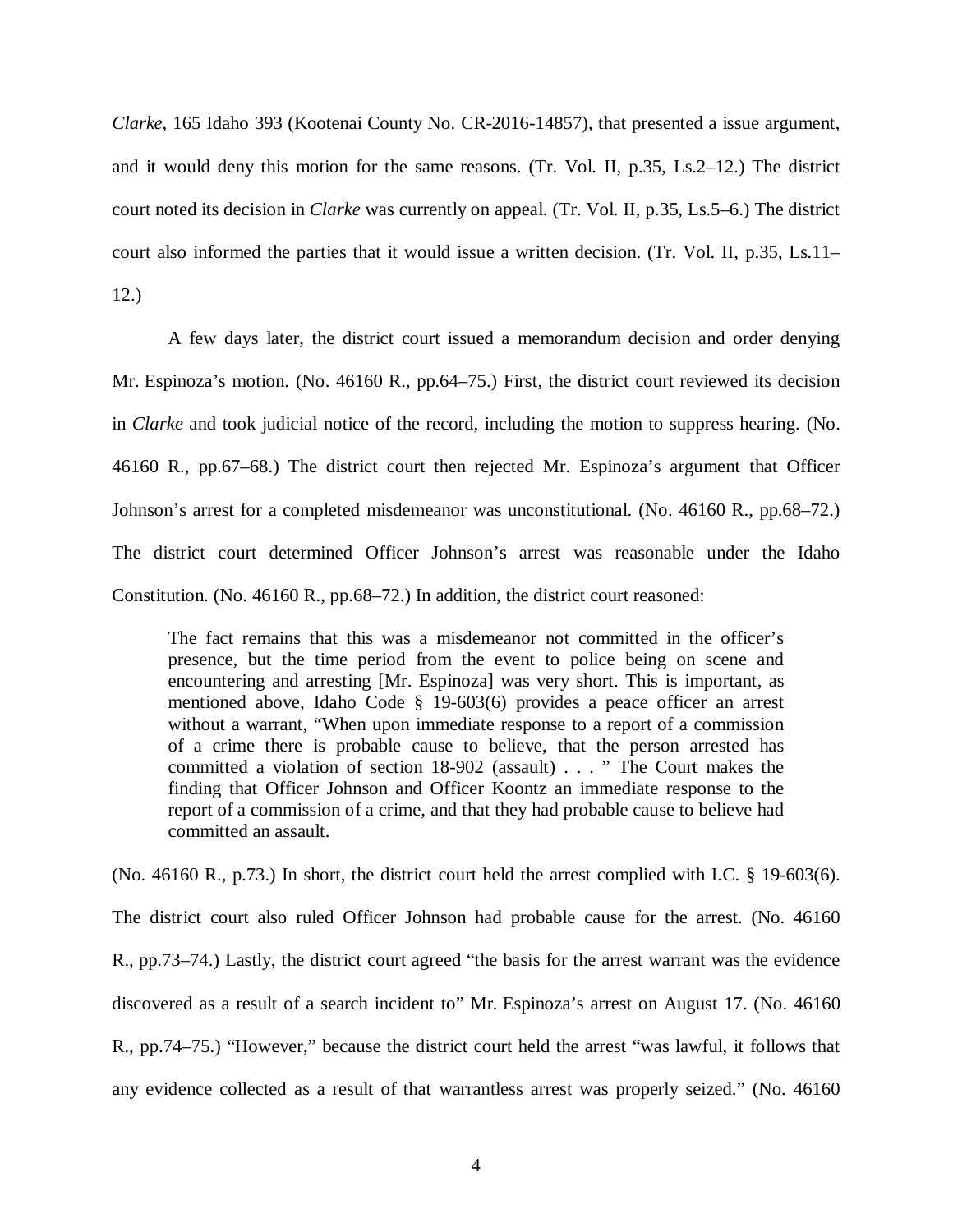*Clarke*, 165 Idaho 393 (Kootenai County No. CR-2016-14857), that presented a issue argument, and it would deny this motion for the same reasons. (Tr. Vol. II, p.35, Ls.2–12.) The district court noted its decision in *Clarke* was currently on appeal. (Tr. Vol. II, p.35, Ls.5–6.) The district court also informed the parties that it would issue a written decision. (Tr. Vol. II, p.35, Ls.11–

12.)

A few days later, the district court issued a memorandum decision and order denying Mr. Espinoza's motion. (No. 46160 R., pp.64–75.) First, the district court reviewed its decision in *Clarke* and took judicial notice of the record, including the motion to suppress hearing. (No. 46160 R., pp.67–68.) The district court then rejected Mr. Espinoza's argument that Officer Johnson's arrest for a completed misdemeanor was unconstitutional. (No. 46160 R., pp.68–72.) The district court determined Officer Johnson's arrest was reasonable under the Idaho Constitution. (No. 46160 R., pp.68–72.) In addition, the district court reasoned:

The fact remains that this was a misdemeanor not committed in the officer's presence, but the time period from the event to police being on scene and encountering and arresting [Mr. Espinoza] was very short. This is important, as mentioned above, Idaho Code § 19-603(6) provides a peace officer an arrest without a warrant, "When upon immediate response to a report of a commission of a crime there is probable cause to believe, that the person arrested has committed a violation of section 18-902 (assault) . . . " The Court makes the finding that Officer Johnson and Officer Koontz an immediate response to the report of a commission of a crime, and that they had probable cause to believe had committed an assault.

(No. 46160 R., p.73.) In short, the district court held the arrest complied with I.C. § 19-603(6). The district court also ruled Officer Johnson had probable cause for the arrest. (No. 46160 R., pp.73–74.) Lastly, the district court agreed "the basis for the arrest warrant was the evidence discovered as a result of a search incident to" Mr. Espinoza's arrest on August 17. (No. 46160 R., pp.74–75.) "However," because the district court held the arrest "was lawful, it follows that any evidence collected as a result of that warrantless arrest was properly seized." (No. 46160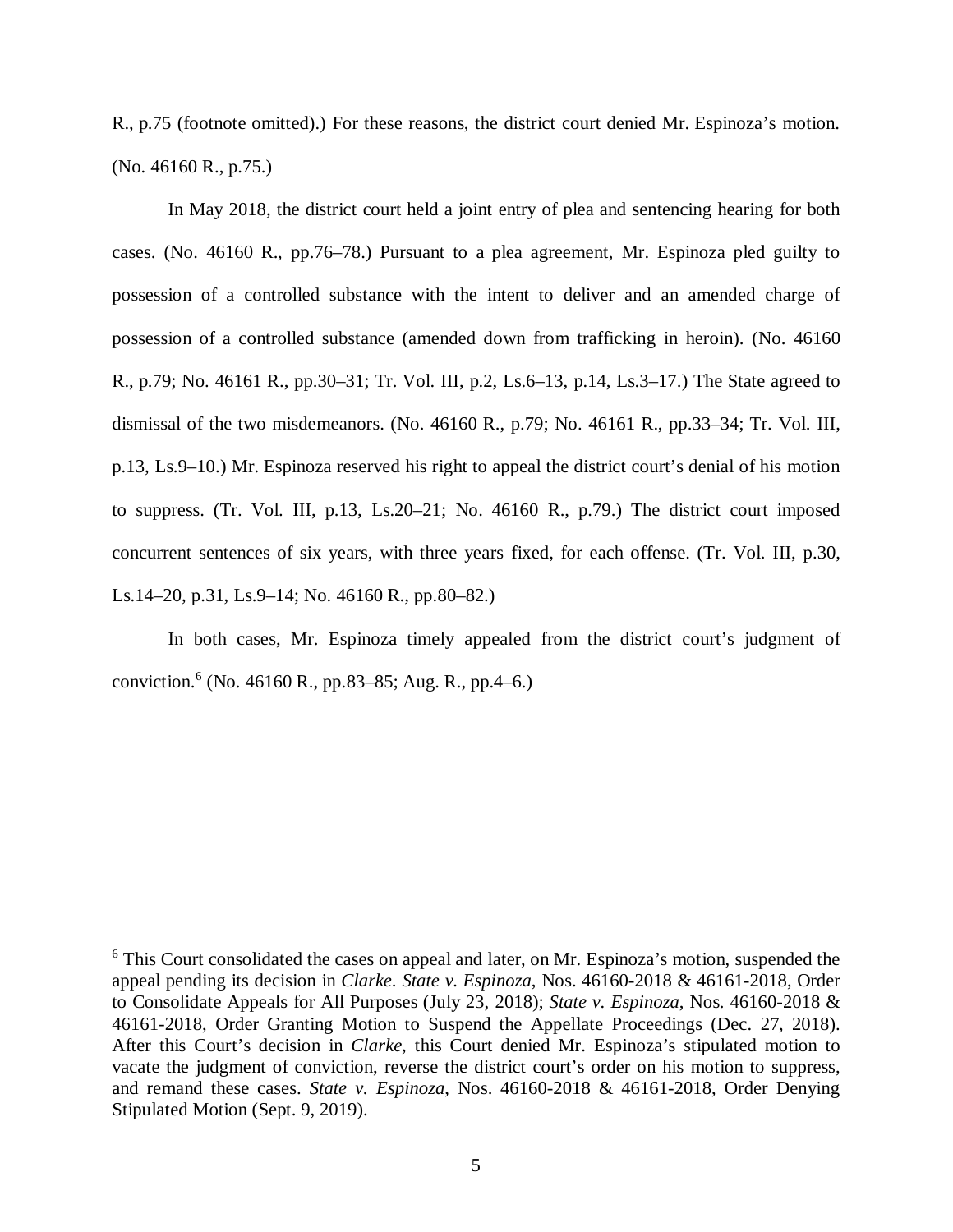R., p.75 (footnote omitted).) For these reasons, the district court denied Mr. Espinoza's motion. (No. 46160 R., p.75.)

In May 2018, the district court held a joint entry of plea and sentencing hearing for both cases. (No. 46160 R., pp.76–78.) Pursuant to a plea agreement, Mr. Espinoza pled guilty to possession of a controlled substance with the intent to deliver and an amended charge of possession of a controlled substance (amended down from trafficking in heroin). (No. 46160 R., p.79; No. 46161 R., pp.30–31; Tr. Vol. III, p.2, Ls.6–13, p.14, Ls.3–17.) The State agreed to dismissal of the two misdemeanors. (No. 46160 R., p.79; No. 46161 R., pp.33–34; Tr. Vol. III, p.13, Ls.9–10.) Mr. Espinoza reserved his right to appeal the district court's denial of his motion to suppress. (Tr. Vol. III, p.13, Ls.20–21; No. 46160 R., p.79.) The district court imposed concurrent sentences of six years, with three years fixed, for each offense. (Tr. Vol. III, p.30, Ls.14–20, p.31, Ls.9–14; No. 46160 R., pp.80–82.)

In both cases, Mr. Espinoza timely appealed from the district court's judgment of conviction.[6](#page-9-0) (No. 46160 R., pp.83–85; Aug. R., pp.4–6.)

<span id="page-9-0"></span><sup>&</sup>lt;sup>6</sup> This Court consolidated the cases on appeal and later, on Mr. Espinoza's motion, suspended the appeal pending its decision in *Clarke*. *State v. Espinoza*, Nos. 46160-2018 & 46161-2018, Order to Consolidate Appeals for All Purposes (July 23, 2018); *State v. Espinoza*, Nos. 46160-2018 & 46161-2018, Order Granting Motion to Suspend the Appellate Proceedings (Dec. 27, 2018). After this Court's decision in *Clarke*, this Court denied Mr. Espinoza's stipulated motion to vacate the judgment of conviction, reverse the district court's order on his motion to suppress, and remand these cases. *State v. Espinoza*, Nos. 46160-2018 & 46161-2018, Order Denying Stipulated Motion (Sept. 9, 2019).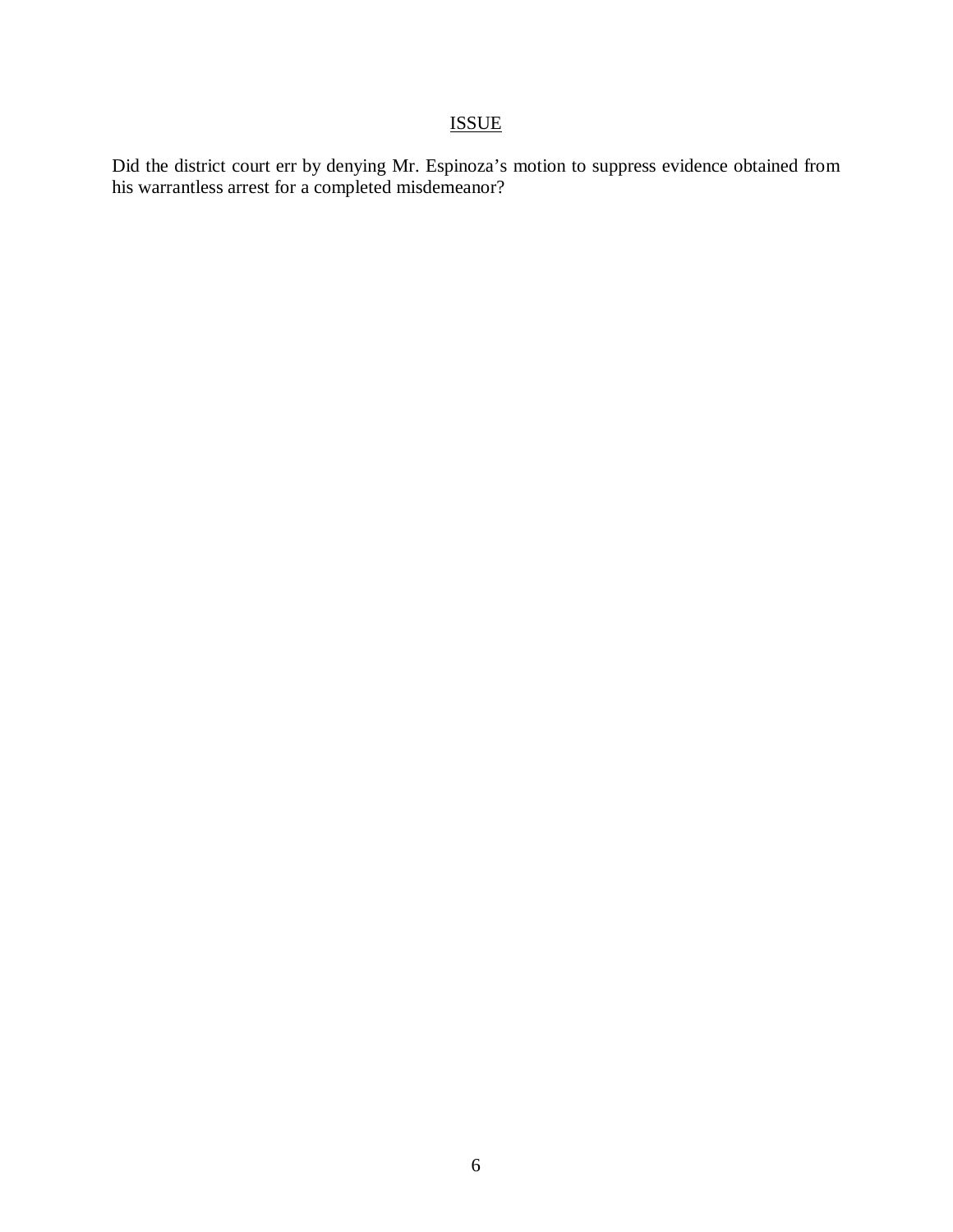# ISSUE

Did the district court err by denying Mr. Espinoza's motion to suppress evidence obtained from his warrantless arrest for a completed misdemeanor?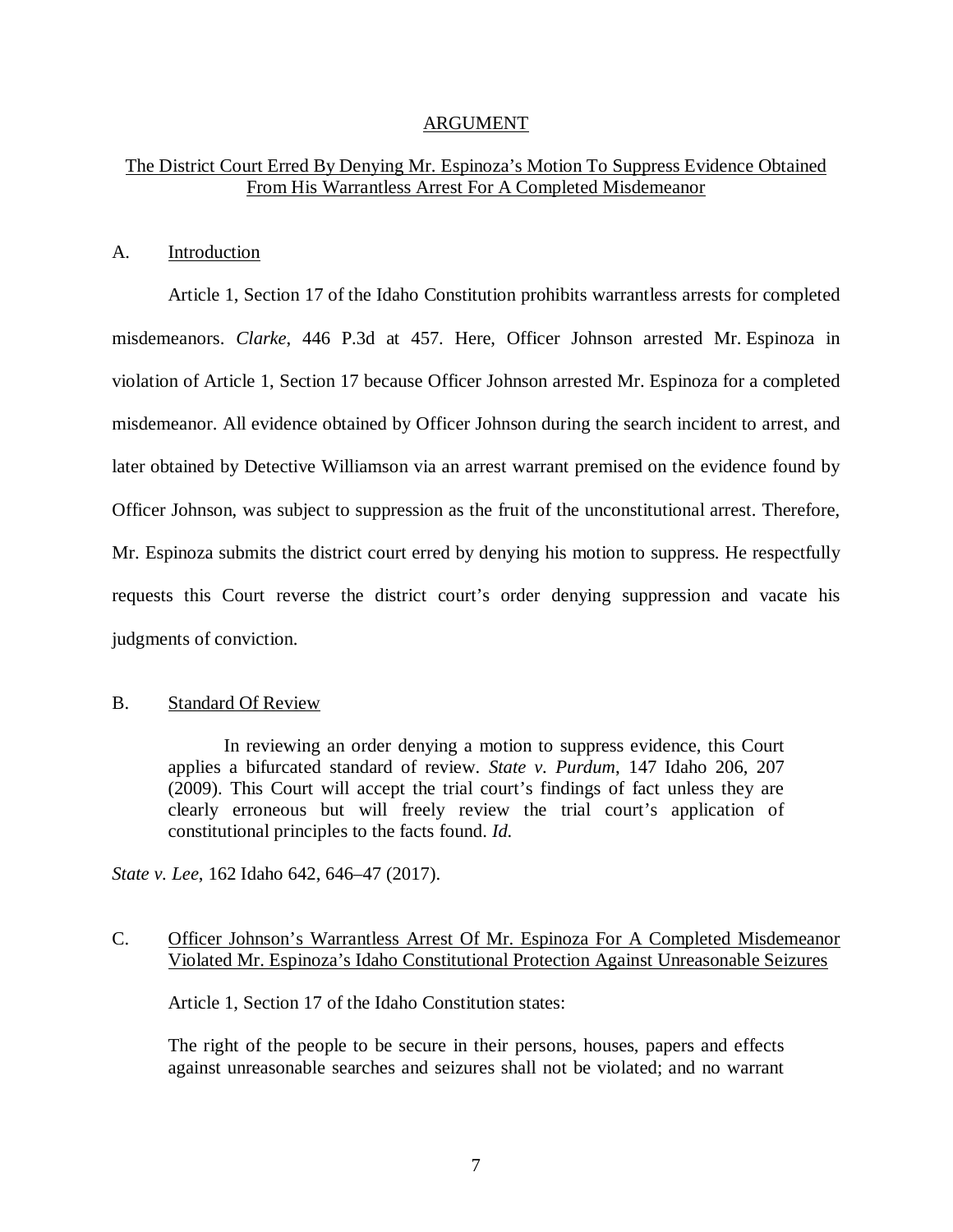### ARGUMENT

# The District Court Erred By Denying Mr. Espinoza's Motion To Suppress Evidence Obtained From His Warrantless Arrest For A Completed Misdemeanor

#### A. Introduction

Article 1, Section 17 of the Idaho Constitution prohibits warrantless arrests for completed misdemeanors. *Clarke*, 446 P.3d at 457. Here, Officer Johnson arrested Mr. Espinoza in violation of Article 1, Section 17 because Officer Johnson arrested Mr. Espinoza for a completed misdemeanor. All evidence obtained by Officer Johnson during the search incident to arrest, and later obtained by Detective Williamson via an arrest warrant premised on the evidence found by Officer Johnson, was subject to suppression as the fruit of the unconstitutional arrest. Therefore, Mr. Espinoza submits the district court erred by denying his motion to suppress. He respectfully requests this Court reverse the district court's order denying suppression and vacate his judgments of conviction.

#### B. Standard Of Review

In reviewing an order denying a motion to suppress evidence, this Court applies a bifurcated standard of review. *State v. Purdum*, 147 Idaho 206, 207 (2009). This Court will accept the trial court's findings of fact unless they are clearly erroneous but will freely review the trial court's application of constitutional principles to the facts found. *Id.*

*State v. Lee*, 162 Idaho 642, 646–47 (2017).

### C. Officer Johnson's Warrantless Arrest Of Mr. Espinoza For A Completed Misdemeanor Violated Mr. Espinoza's Idaho Constitutional Protection Against Unreasonable Seizures

Article 1, Section 17 of the Idaho Constitution states:

The right of the people to be secure in their persons, houses, papers and effects against unreasonable searches and seizures shall not be violated; and no warrant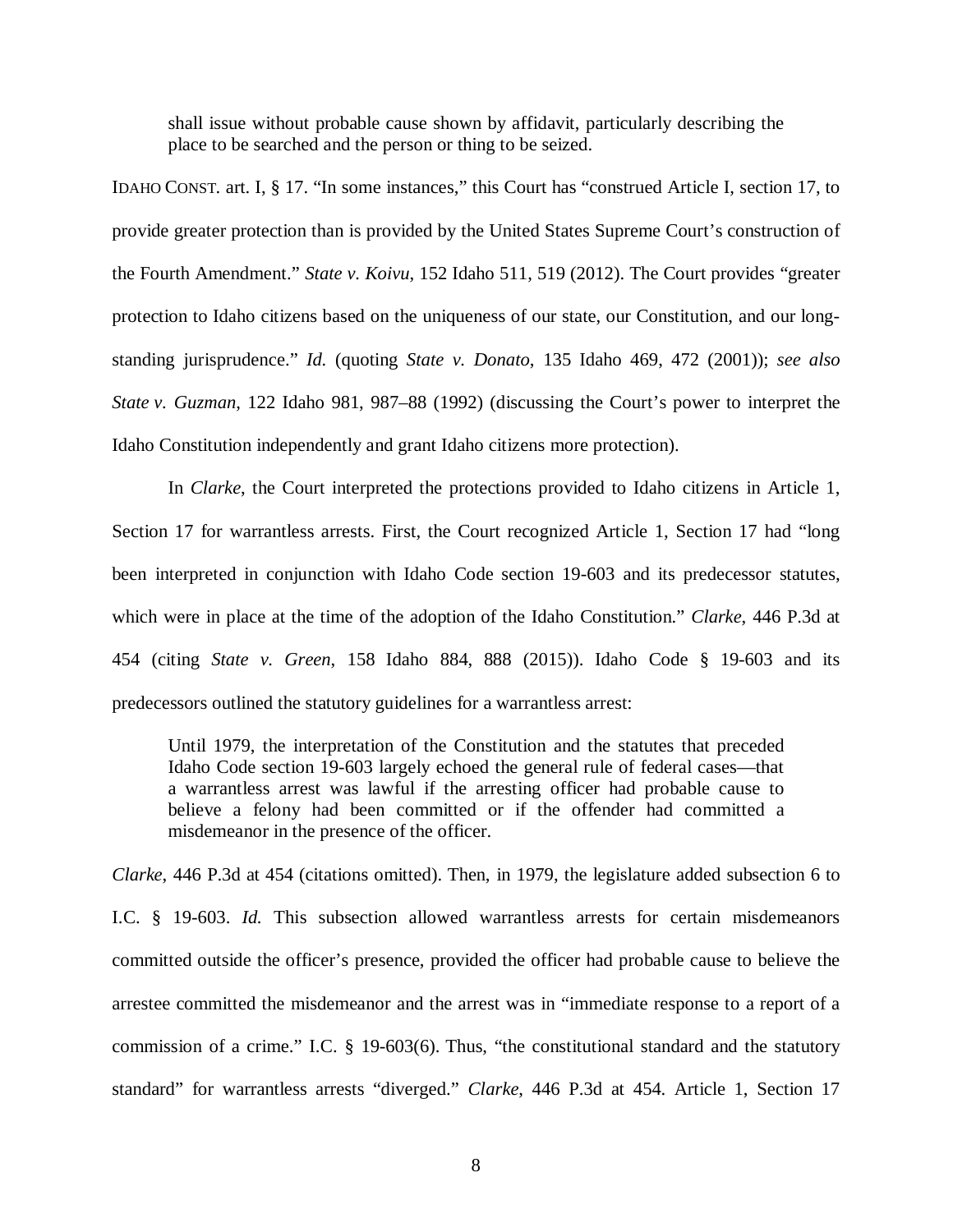shall issue without probable cause shown by affidavit, particularly describing the place to be searched and the person or thing to be seized.

IDAHO CONST. art. I, § 17. "In some instances," this Court has "construed Article I, section 17, to provide greater protection than is provided by the United States Supreme Court's construction of the Fourth Amendment." *State v. Koivu*, 152 Idaho 511, 519 (2012). The Court provides "greater protection to Idaho citizens based on the uniqueness of our state, our Constitution, and our longstanding jurisprudence." *Id.* (quoting *State v. Donato*, 135 Idaho 469, 472 (2001)); *see also State v. Guzman*, 122 Idaho 981, 987–88 (1992) (discussing the Court's power to interpret the Idaho Constitution independently and grant Idaho citizens more protection).

In *Clarke*, the Court interpreted the protections provided to Idaho citizens in Article 1, Section 17 for warrantless arrests. First, the Court recognized Article 1, Section 17 had "long been interpreted in conjunction with Idaho Code section 19-603 and its predecessor statutes, which were in place at the time of the adoption of the Idaho Constitution." *Clarke*, 446 P.3d at 454 (citing *State v. Green*, 158 Idaho 884, 888 (2015)). Idaho Code § 19-603 and its predecessors outlined the statutory guidelines for a warrantless arrest:

Until 1979, the interpretation of the Constitution and the statutes that preceded Idaho Code section 19-603 largely echoed the general rule of federal cases—that a warrantless arrest was lawful if the arresting officer had probable cause to believe a felony had been committed or if the offender had committed a misdemeanor in the presence of the officer.

*Clarke*, 446 P.3d at 454 (citations omitted). Then, in 1979, the legislature added subsection 6 to I.C. § 19-603. *Id.* This subsection allowed warrantless arrests for certain misdemeanors committed outside the officer's presence, provided the officer had probable cause to believe the arrestee committed the misdemeanor and the arrest was in "immediate response to a report of a commission of a crime." I.C. § 19-603(6). Thus, "the constitutional standard and the statutory standard" for warrantless arrests "diverged." *Clarke*, 446 P.3d at 454. Article 1, Section 17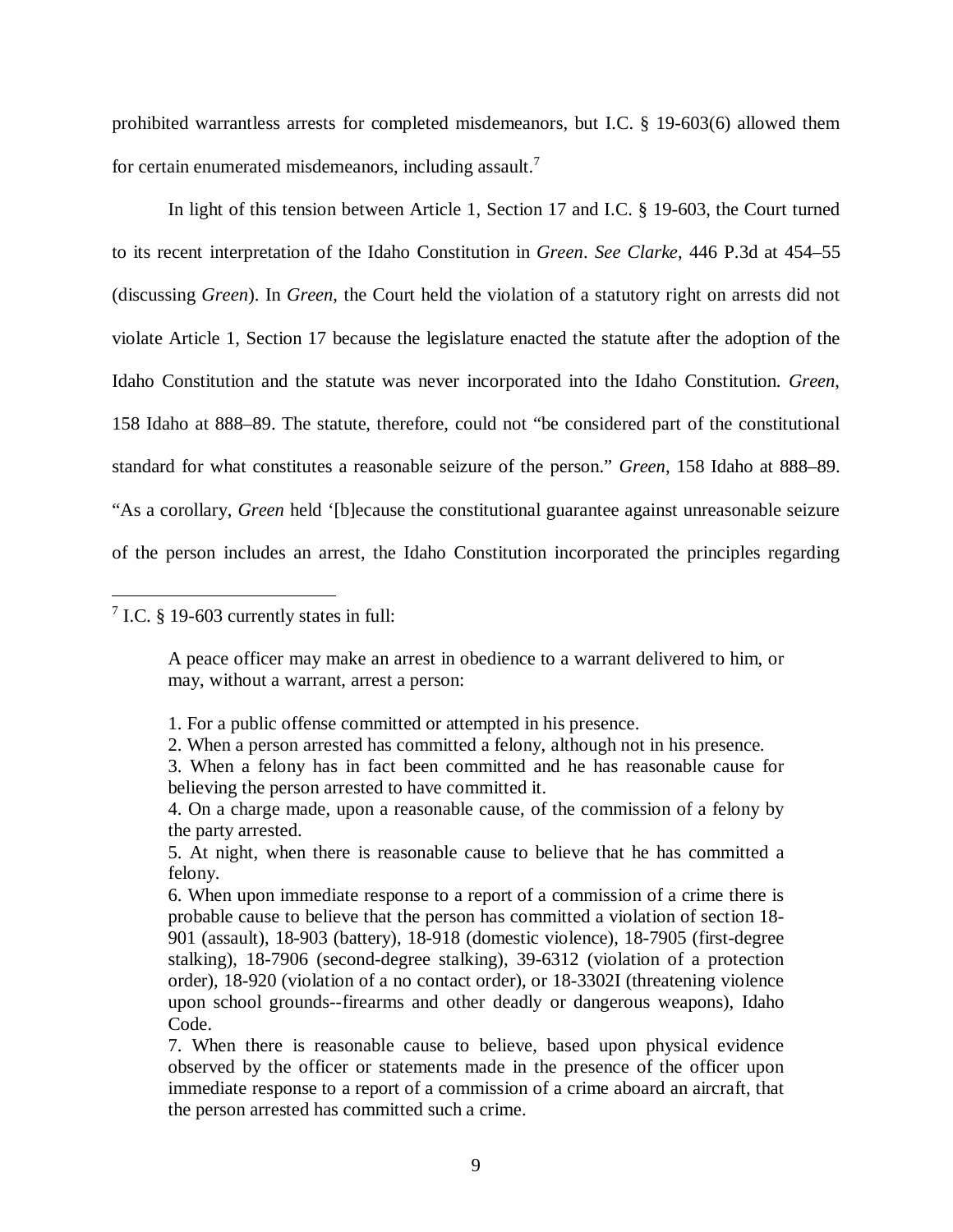prohibited warrantless arrests for completed misdemeanors, but I.C. § 19-603(6) allowed them for certain enumerated misdemeanors, including assault.<sup>[7](#page-13-0)</sup>

In light of this tension between Article 1, Section 17 and I.C. § 19-603, the Court turned to its recent interpretation of the Idaho Constitution in *Green*. *See Clarke*, 446 P.3d at 454–55 (discussing *Green*). In *Green*, the Court held the violation of a statutory right on arrests did not violate Article 1, Section 17 because the legislature enacted the statute after the adoption of the Idaho Constitution and the statute was never incorporated into the Idaho Constitution. *Green*, 158 Idaho at 888–89. The statute, therefore, could not "be considered part of the constitutional standard for what constitutes a reasonable seizure of the person." *Green*, 158 Idaho at 888–89. "As a corollary, *Green* held '[b]ecause the constitutional guarantee against unreasonable seizure of the person includes an arrest, the Idaho Constitution incorporated the principles regarding

<span id="page-13-0"></span>7 I.C. § 19-603 currently states in full:

A peace officer may make an arrest in obedience to a warrant delivered to him, or may, without a warrant, arrest a person:

- 2. When a person arrested has committed a felony, although not in his presence.
- 3. When a felony has in fact been committed and he has reasonable cause for believing the person arrested to have committed it.

4. On a charge made, upon a reasonable cause, of the commission of a felony by the party arrested.

5. At night, when there is reasonable cause to believe that he has committed a felony.

6. When upon immediate response to a report of a commission of a crime there is probable cause to believe that the person has committed a violation of section 18- 901 (assault), 18-903 (battery), 18-918 (domestic violence), 18-7905 (first-degree stalking), 18-7906 (second-degree stalking), 39-6312 (violation of a protection order), 18-920 (violation of a no contact order), or 18-3302I (threatening violence upon school grounds--firearms and other deadly or dangerous weapons), Idaho Code.

<sup>1.</sup> For a public offense committed or attempted in his presence.

<sup>7.</sup> When there is reasonable cause to believe, based upon physical evidence observed by the officer or statements made in the presence of the officer upon immediate response to a report of a commission of a crime aboard an aircraft, that the person arrested has committed such a crime.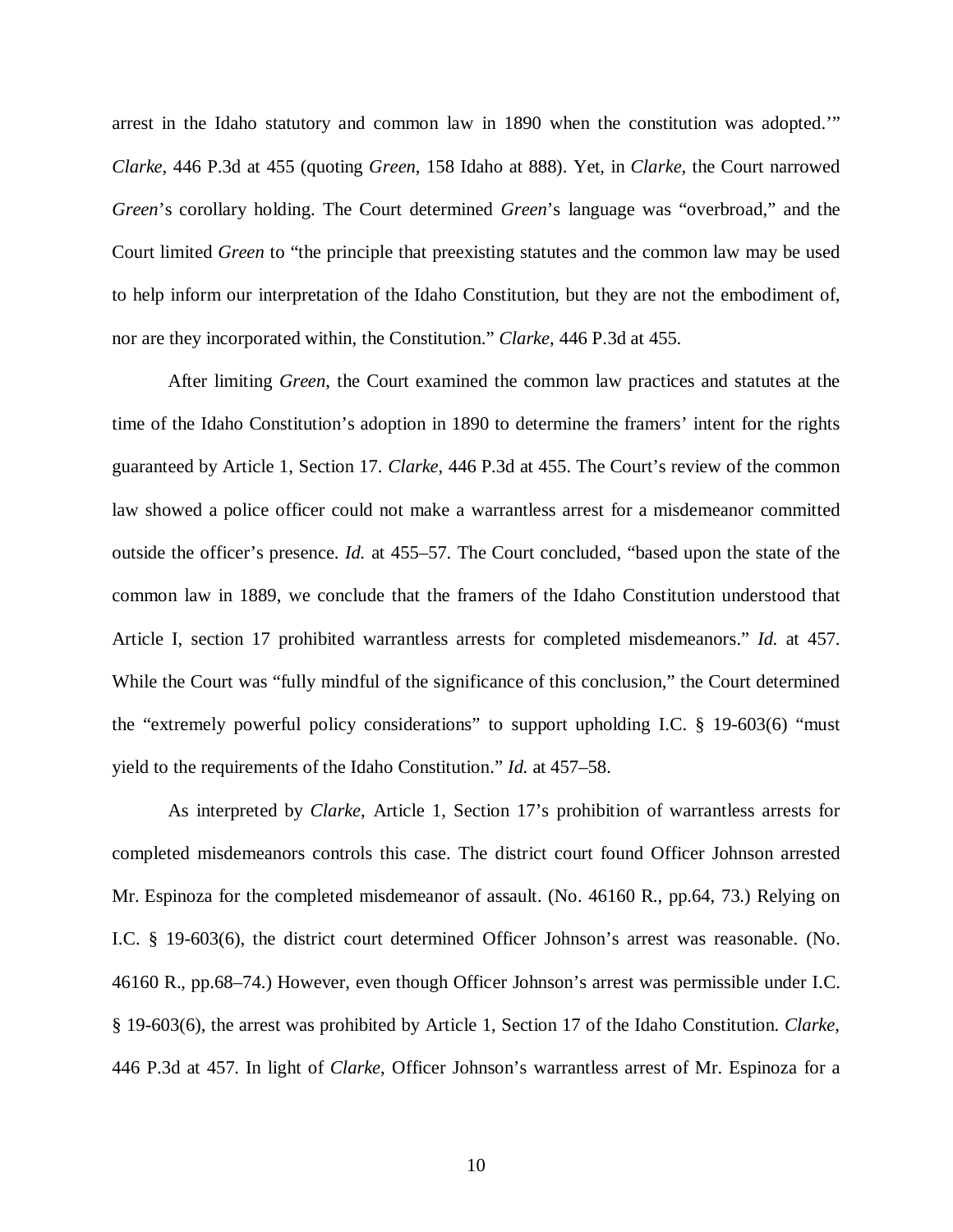arrest in the Idaho statutory and common law in 1890 when the constitution was adopted.'" *Clarke*, 446 P.3d at 455 (quoting *Green*, 158 Idaho at 888). Yet, in *Clarke*, the Court narrowed *Green*'s corollary holding. The Court determined *Green*'s language was "overbroad," and the Court limited *Green* to "the principle that preexisting statutes and the common law may be used to help inform our interpretation of the Idaho Constitution, but they are not the embodiment of, nor are they incorporated within, the Constitution." *Clarke*, 446 P.3d at 455.

After limiting *Green*, the Court examined the common law practices and statutes at the time of the Idaho Constitution's adoption in 1890 to determine the framers' intent for the rights guaranteed by Article 1, Section 17. *Clarke*, 446 P.3d at 455. The Court's review of the common law showed a police officer could not make a warrantless arrest for a misdemeanor committed outside the officer's presence. *Id.* at 455–57. The Court concluded, "based upon the state of the common law in 1889, we conclude that the framers of the Idaho Constitution understood that Article I, section 17 prohibited warrantless arrests for completed misdemeanors." *Id.* at 457. While the Court was "fully mindful of the significance of this conclusion," the Court determined the "extremely powerful policy considerations" to support upholding I.C. § 19-603(6) "must yield to the requirements of the Idaho Constitution." *Id.* at 457–58.

As interpreted by *Clarke*, Article 1, Section 17's prohibition of warrantless arrests for completed misdemeanors controls this case. The district court found Officer Johnson arrested Mr. Espinoza for the completed misdemeanor of assault. (No. 46160 R., pp.64, 73.) Relying on I.C. § 19-603(6), the district court determined Officer Johnson's arrest was reasonable. (No. 46160 R., pp.68–74.) However, even though Officer Johnson's arrest was permissible under I.C. § 19-603(6), the arrest was prohibited by Article 1, Section 17 of the Idaho Constitution. *Clarke*, 446 P.3d at 457. In light of *Clarke*, Officer Johnson's warrantless arrest of Mr. Espinoza for a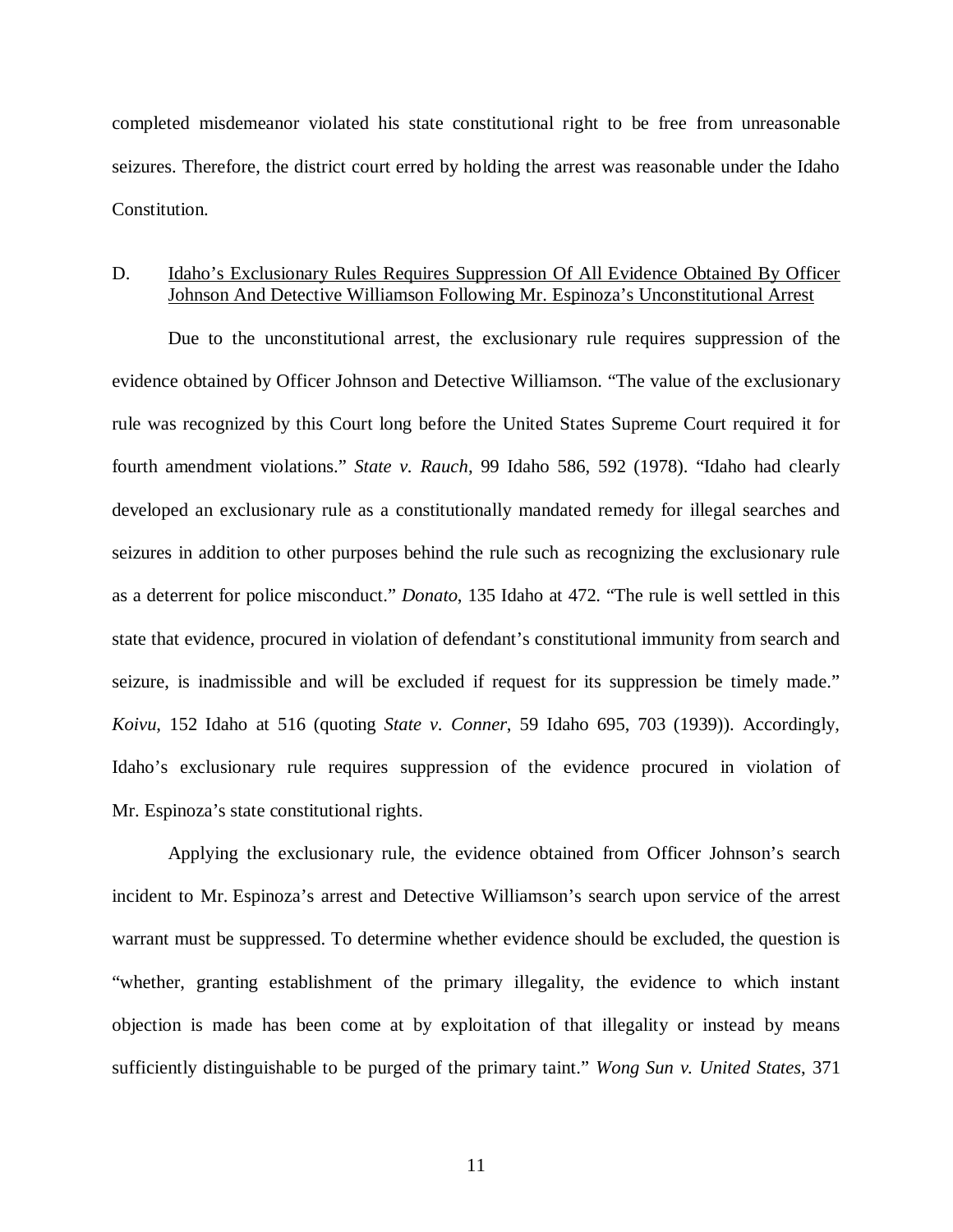completed misdemeanor violated his state constitutional right to be free from unreasonable seizures. Therefore, the district court erred by holding the arrest was reasonable under the Idaho Constitution.

# D. Idaho's Exclusionary Rules Requires Suppression Of All Evidence Obtained By Officer Johnson And Detective Williamson Following Mr. Espinoza's Unconstitutional Arrest

Due to the unconstitutional arrest, the exclusionary rule requires suppression of the evidence obtained by Officer Johnson and Detective Williamson. "The value of the exclusionary rule was recognized by this Court long before the United States Supreme Court required it for fourth amendment violations." *State v. Rauch*, 99 Idaho 586, 592 (1978). "Idaho had clearly developed an exclusionary rule as a constitutionally mandated remedy for illegal searches and seizures in addition to other purposes behind the rule such as recognizing the exclusionary rule as a deterrent for police misconduct." *Donato*, 135 Idaho at 472. "The rule is well settled in this state that evidence, procured in violation of defendant's constitutional immunity from search and seizure, is inadmissible and will be excluded if request for its suppression be timely made." *Koivu*, 152 Idaho at 516 (quoting *State v. Conner*, 59 Idaho 695, 703 (1939)). Accordingly, Idaho's exclusionary rule requires suppression of the evidence procured in violation of Mr. Espinoza's state constitutional rights.

Applying the exclusionary rule, the evidence obtained from Officer Johnson's search incident to Mr. Espinoza's arrest and Detective Williamson's search upon service of the arrest warrant must be suppressed. To determine whether evidence should be excluded, the question is "whether, granting establishment of the primary illegality, the evidence to which instant objection is made has been come at by exploitation of that illegality or instead by means sufficiently distinguishable to be purged of the primary taint." *Wong Sun v. United States*, 371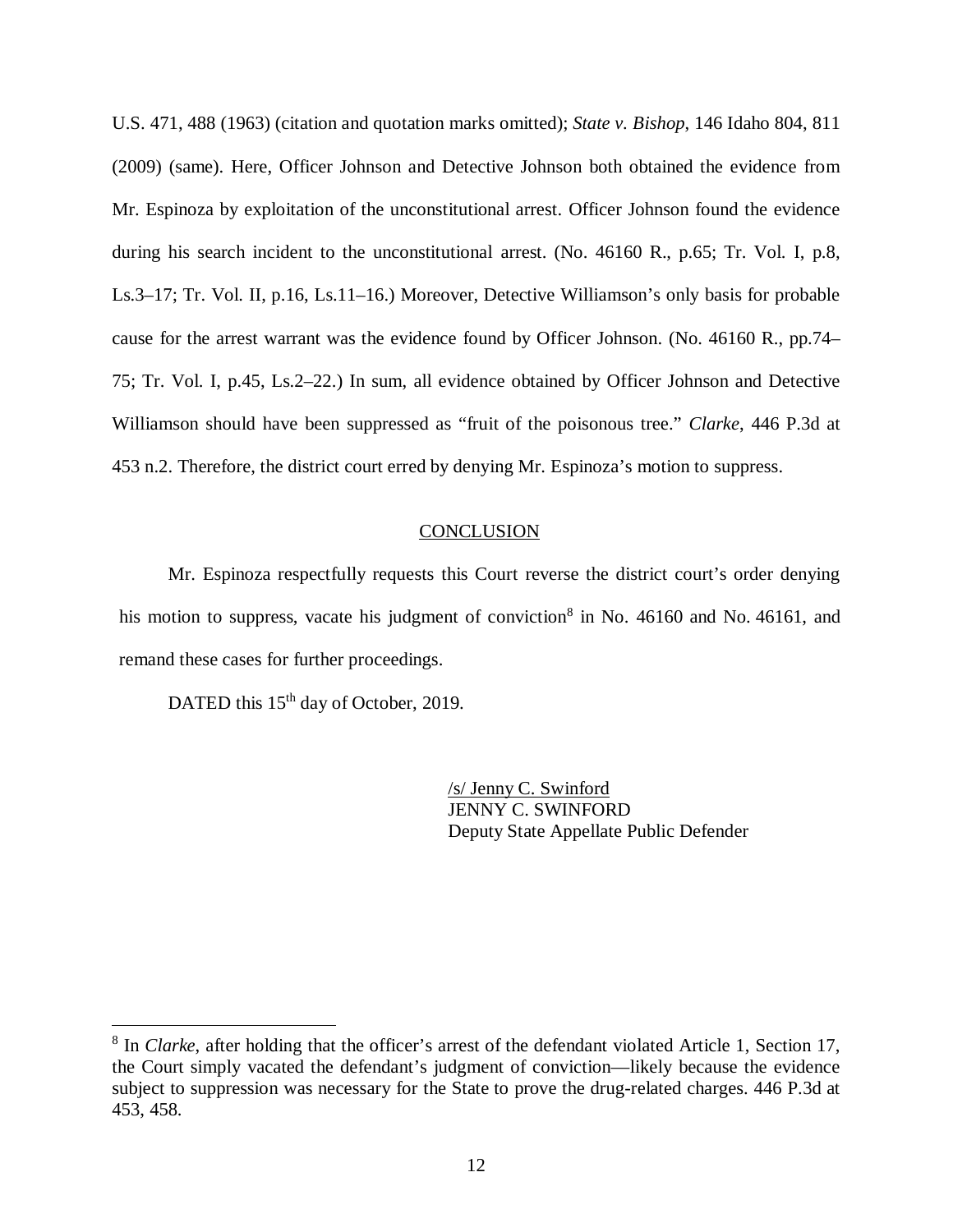U.S. 471, 488 (1963) (citation and quotation marks omitted); *State v. Bishop*, 146 Idaho 804, 811 (2009) (same). Here, Officer Johnson and Detective Johnson both obtained the evidence from Mr. Espinoza by exploitation of the unconstitutional arrest. Officer Johnson found the evidence during his search incident to the unconstitutional arrest. (No. 46160 R., p.65; Tr. Vol. I, p.8, Ls.3–17; Tr. Vol. II, p.16, Ls.11–16.) Moreover, Detective Williamson's only basis for probable cause for the arrest warrant was the evidence found by Officer Johnson. (No. 46160 R., pp.74– 75; Tr. Vol. I, p.45, Ls.2–22.) In sum, all evidence obtained by Officer Johnson and Detective Williamson should have been suppressed as "fruit of the poisonous tree." *Clarke*, 446 P.3d at 453 n.2. Therefore, the district court erred by denying Mr. Espinoza's motion to suppress.

#### **CONCLUSION**

Mr. Espinoza respectfully requests this Court reverse the district court's order denying his motion to suppress, vacate his judgment of conviction<sup>[8](#page-16-0)</sup> in No. 46160 and No. 46161, and remand these cases for further proceedings.

DATED this 15<sup>th</sup> day of October, 2019.

/s/ Jenny C. Swinford JENNY C. SWINFORD Deputy State Appellate Public Defender

<span id="page-16-0"></span><sup>&</sup>lt;sup>8</sup> In *Clarke*, after holding that the officer's arrest of the defendant violated Article 1, Section 17, the Court simply vacated the defendant's judgment of conviction—likely because the evidence subject to suppression was necessary for the State to prove the drug-related charges. 446 P.3d at 453, 458.